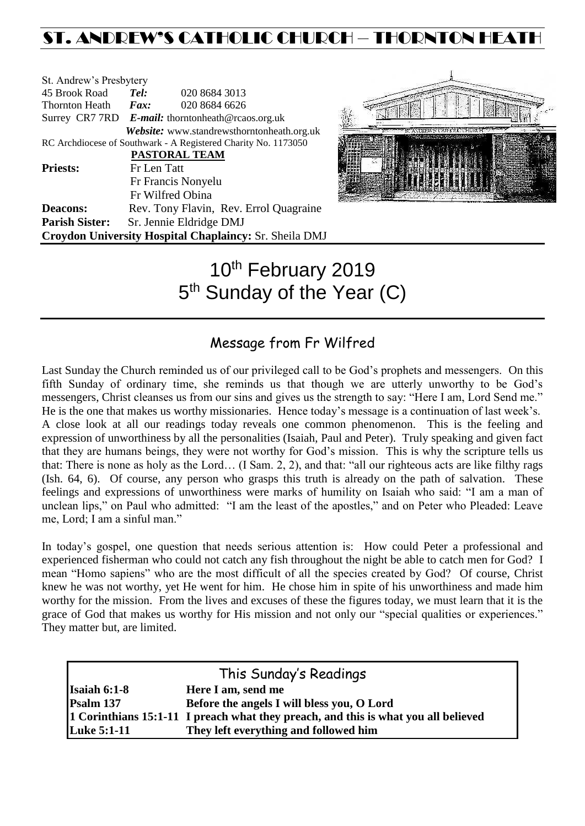## ST. ANDREW'S CATHOLIC CHURCH – THORNTON HEATH

| St. Andrew's Presbytery                                        |             |                                                        |  |  |
|----------------------------------------------------------------|-------------|--------------------------------------------------------|--|--|
| 45 Brook Road                                                  | Tel:        | 020 8684 3013                                          |  |  |
| Thornton Heath <i>Fax</i> :                                    |             | 020 8684 6626                                          |  |  |
|                                                                |             | Surrey CR7 7RD E-mail: thorntonheath@rcaos.org.uk      |  |  |
|                                                                |             | Website: www.standrewsthorntonheath.org.uk             |  |  |
| RC Archdiocese of Southwark - A Registered Charity No. 1173050 |             |                                                        |  |  |
| PASTORAL TEAM                                                  |             |                                                        |  |  |
| <b>Priests:</b>                                                | Fr Len Tatt |                                                        |  |  |
|                                                                |             | Fr Francis Nonyelu                                     |  |  |
|                                                                |             | Fr Wilfred Obina                                       |  |  |
| <b>Deacons:</b>                                                |             | Rev. Tony Flavin, Rev. Errol Quagraine                 |  |  |
| <b>Parish Sister:</b>                                          |             | Sr. Jennie Eldridge DMJ                                |  |  |
|                                                                |             | Croydon University Hospital Chaplaincy: Sr. Sheila DMJ |  |  |



# 10<sup>th</sup> February 2019 5<sup>th</sup> Sunday of the Year (C)

### Message from Fr Wilfred

Last Sunday the Church reminded us of our privileged call to be God's prophets and messengers. On this fifth Sunday of ordinary time, she reminds us that though we are utterly unworthy to be God's messengers, Christ cleanses us from our sins and gives us the strength to say: "Here I am, Lord Send me." He is the one that makes us worthy missionaries. Hence today's message is a continuation of last week's. A close look at all our readings today reveals one common phenomenon. This is the feeling and expression of unworthiness by all the personalities (Isaiah, Paul and Peter). Truly speaking and given fact that they are humans beings, they were not worthy for God's mission. This is why the scripture tells us that: There is none as holy as the Lord… (I Sam. 2, 2), and that: "all our righteous acts are like filthy rags (Ish. 64, 6). Of course, any person who grasps this truth is already on the path of salvation. These feelings and expressions of unworthiness were marks of humility on Isaiah who said: "I am a man of unclean lips," on Paul who admitted: "I am the least of the apostles," and on Peter who Pleaded: Leave me, Lord; I am a sinful man."

In today's gospel, one question that needs serious attention is: How could Peter a professional and experienced fisherman who could not catch any fish throughout the night be able to catch men for God? I mean "Homo sapiens" who are the most difficult of all the species created by God? Of course, Christ knew he was not worthy, yet He went for him. He chose him in spite of his unworthiness and made him worthy for the mission. From the lives and excuses of these the figures today, we must learn that it is the grace of God that makes us worthy for His mission and not only our "special qualities or experiences." They matter but, are limited.

| This Sunday's Readings |                                                                                    |  |  |  |
|------------------------|------------------------------------------------------------------------------------|--|--|--|
| <b>Isaiah 6:1-8</b>    | Here I am, send me                                                                 |  |  |  |
| Psalm 137              | Before the angels I will bless you, O Lord                                         |  |  |  |
|                        | 1 Corinthians 15:1-11 I preach what they preach, and this is what you all believed |  |  |  |
| <b>Luke 5:1-11</b>     | They left everything and followed him                                              |  |  |  |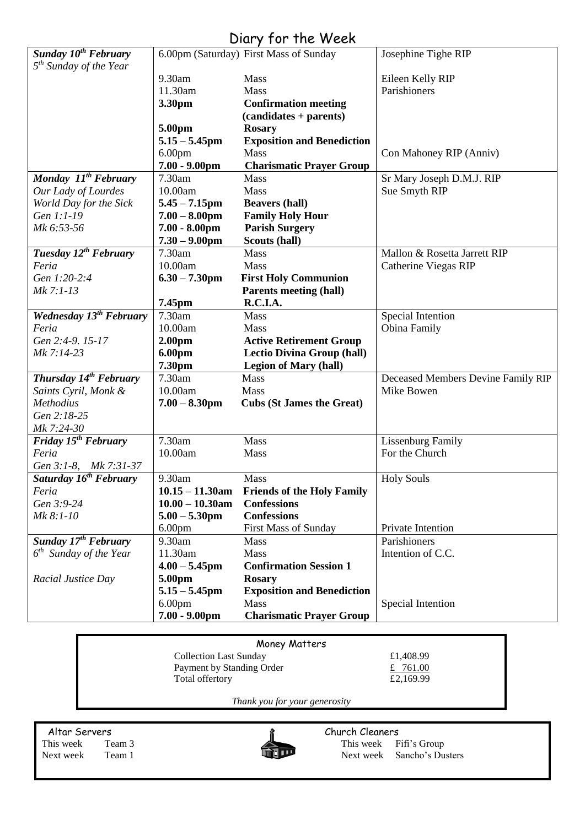### Diary for the Week

|                                               |                            | $5.51$ $7.7$ $1.00$ $1.10$ $1.7$ $0.001$       |                                    |
|-----------------------------------------------|----------------------------|------------------------------------------------|------------------------------------|
| Sunday 10 <sup>th</sup> February              |                            | 6.00pm (Saturday) First Mass of Sunday         | Josephine Tighe RIP                |
| 5 <sup>th</sup> Sunday of the Year            |                            |                                                |                                    |
|                                               | 9.30am                     | Mass                                           | Eileen Kelly RIP                   |
|                                               | 11.30am                    | <b>Mass</b>                                    | Parishioners                       |
|                                               | 3.30pm                     | <b>Confirmation meeting</b>                    |                                    |
|                                               |                            | $(candidates + parents)$                       |                                    |
|                                               | 5.00pm                     | <b>Rosary</b>                                  |                                    |
|                                               | $5.15 - 5.45$ pm           | <b>Exposition and Benediction</b>              |                                    |
|                                               | 6.00 <sub>pm</sub>         | <b>Mass</b>                                    | Con Mahoney RIP (Anniv)            |
|                                               | $7.00 - 9.00$ pm<br>7.30am | <b>Charismatic Prayer Group</b><br><b>Mass</b> |                                    |
| Monday 11 <sup>th</sup> February              | 10.00am                    | Mass                                           | Sr Mary Joseph D.M.J. RIP          |
| Our Lady of Lourdes<br>World Day for the Sick | $5.45 - 7.15$ pm           | <b>Beavers (hall)</b>                          | Sue Smyth RIP                      |
| Gen 1:1-19                                    | $7.00 - 8.00$ pm           | <b>Family Holy Hour</b>                        |                                    |
| Mk 6:53-56                                    | $7.00 - 8.00$ pm           | <b>Parish Surgery</b>                          |                                    |
|                                               | $7.30 - 9.00$ pm           | Scouts (hall)                                  |                                    |
| Tuesday 12 <sup>th</sup> February             | 7.30am                     | <b>Mass</b>                                    | Mallon & Rosetta Jarrett RIP       |
| Feria                                         | 10.00am                    | <b>Mass</b>                                    | Catherine Viegas RIP               |
| Gen 1:20-2:4                                  | $6.30 - 7.30$ pm           | <b>First Holy Communion</b>                    |                                    |
| Mk 7:1-13                                     |                            | <b>Parents meeting (hall)</b>                  |                                    |
|                                               | 7.45pm                     | R.C.I.A.                                       |                                    |
| <b>Wednesday 13th February</b>                | 7.30am                     | <b>Mass</b>                                    | <b>Special Intention</b>           |
| Feria                                         | 10.00am                    | Mass                                           | Obina Family                       |
| Gen 2:4-9. 15-17                              | 2.00 <sub>pm</sub>         | <b>Active Retirement Group</b>                 |                                    |
| Mk 7:14-23                                    | <b>6.00pm</b>              | <b>Lectio Divina Group (hall)</b>              |                                    |
|                                               | 7.30pm                     | <b>Legion of Mary (hall)</b>                   |                                    |
| Thursday 14 <sup>th</sup> February            | 7.30am                     | Mass                                           | Deceased Members Devine Family RIP |
| Saints Cyril, Monk &                          | 10.00am                    | Mass                                           | Mike Bowen                         |
| Methodius                                     | $7.00 - 8.30$ pm           | <b>Cubs (St James the Great)</b>               |                                    |
| Gen 2:18-25                                   |                            |                                                |                                    |
| Mk 7:24-30                                    |                            |                                                |                                    |
| Friday $15^{th}$ February                     | 7.30am                     | Mass                                           | <b>Lissenburg Family</b>           |
| Feria                                         | 10.00am                    | Mass                                           | For the Church                     |
| Gen 3:1-8, Mk 7:31-37                         |                            |                                                |                                    |
| Saturday 16 <sup>th</sup> February            | 9.30am                     | Mass                                           | <b>Holy Souls</b>                  |
| Feria                                         | $10.15 - 11.30$ am         | <b>Friends of the Holy Family</b>              |                                    |
| Gen 3:9-24                                    | $10.00 - 10.30$ am         | <b>Confessions</b>                             |                                    |
| Mk 8:1-10                                     | $5.00 - 5.30$ pm           | <b>Confessions</b>                             |                                    |
|                                               | 6.00 <sub>pm</sub>         | First Mass of Sunday                           | Private Intention                  |
| Sunday 17 <sup>th</sup> February              | 9.30am                     | <b>Mass</b>                                    | Parishioners                       |
| $6th$ Sunday of the Year                      | 11.30am                    | <b>Mass</b>                                    | Intention of C.C.                  |
|                                               | $4.00 - 5.45$ pm           | <b>Confirmation Session 1</b>                  |                                    |
| Racial Justice Day                            | 5.00pm                     | <b>Rosary</b>                                  |                                    |
|                                               | $5.15 - 5.45$ pm           | <b>Exposition and Benediction</b>              |                                    |
|                                               | 6.00 <sub>pm</sub>         | <b>Mass</b>                                    | Special Intention                  |
|                                               | $7.00 - 9.00$ pm           | <b>Charismatic Prayer Group</b>                |                                    |

| Money Matters                 |           |  |  |  |
|-------------------------------|-----------|--|--|--|
| <b>Collection Last Sunday</b> | £1,408.99 |  |  |  |
| Payment by Standing Order     | £ 761.00  |  |  |  |
| Total offertory               | £2,169.99 |  |  |  |
|                               |           |  |  |  |

*Thank you for your generosity*

Altar Servers **Church Cleaners Church Cleaners** This week Team 3 This week Fifi's Group<br>Next week Team 1 Next week Sancho's Du Next week Team 1 Next week Sancho's Dusters

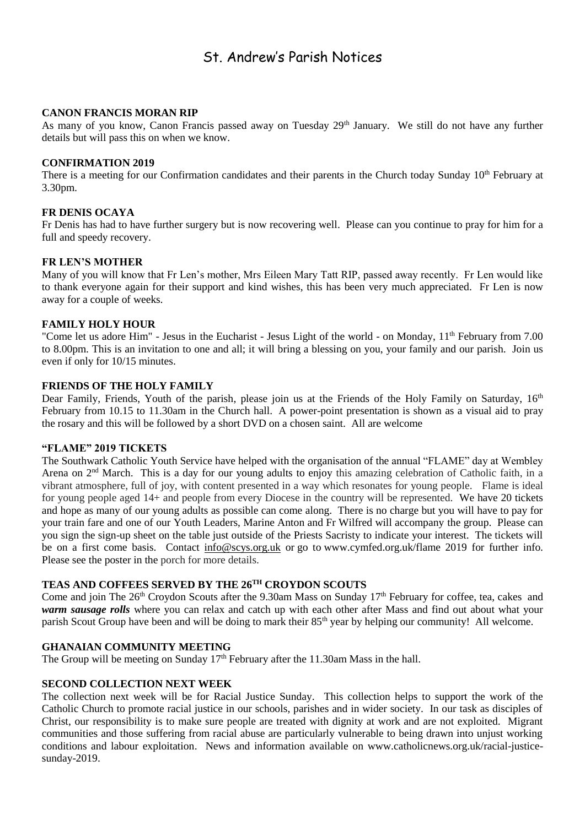### St. Andrew's Parish Notices

#### **CANON FRANCIS MORAN RIP**

As many of you know, Canon Francis passed away on Tuesday 29<sup>th</sup> January. We still do not have any further details but will pass this on when we know.

#### **CONFIRMATION 2019**

There is a meeting for our Confirmation candidates and their parents in the Church today Sunday  $10<sup>th</sup>$  February at 3.30pm.

#### **FR DENIS OCAYA**

Fr Denis has had to have further surgery but is now recovering well. Please can you continue to pray for him for a full and speedy recovery.

#### **FR LEN'S MOTHER**

Many of you will know that Fr Len's mother, Mrs Eileen Mary Tatt RIP, passed away recently. Fr Len would like to thank everyone again for their support and kind wishes, this has been very much appreciated. Fr Len is now away for a couple of weeks.

#### **FAMILY HOLY HOUR**

"Come let us adore Him" - Jesus in the Eucharist - Jesus Light of the world - on Monday, 11<sup>th</sup> February from 7.00 to 8.00pm. This is an invitation to one and all; it will bring a blessing on you, your family and our parish. Join us even if only for 10/15 minutes.

#### **FRIENDS OF THE HOLY FAMILY**

Dear Family, Friends, Youth of the parish, please join us at the Friends of the Holy Family on Saturday, 16<sup>th</sup> February from 10.15 to 11.30am in the Church hall. A power-point presentation is shown as a visual aid to pray the rosary and this will be followed by a short DVD on a chosen saint. All are welcome

#### **"FLAME" 2019 TICKETS**

The Southwark Catholic Youth Service have helped with the organisation of the annual "FLAME" day at Wembley Arena on 2<sup>nd</sup> March. This is a day for our young adults to enjoy this amazing celebration of Catholic faith, in a vibrant atmosphere, full of joy, with content presented in a way which resonates for young people. Flame is ideal for young people aged 14+ and people from every Diocese in the country will be represented. We have 20 tickets and hope as many of our young adults as possible can come along. There is no charge but you will have to pay for your train fare and one of our Youth Leaders, Marine Anton and Fr Wilfred will accompany the group. Please can you sign the sign-up sheet on the table just outside of the Priests Sacristy to indicate your interest. The tickets will be on a first come basis. Contact [info@scys.org.uk](mailto:info@scys.org.uk?subject=FLAME%202019) or go to [www.cymfed.org.uk/flame 2019](https://rcsouthwark.us11.list-manage.com/track/click?u=a40ab1a35eac7236d856fe882&id=3967eeb619&e=8fd233ba89) for further info. Please see the poster in the porch for more details.

#### **TEAS AND COFFEES SERVED BY THE 26TH CROYDON SCOUTS**

Come and join The 26<sup>th</sup> Croydon Scouts after the 9.30am Mass on Sunday 17<sup>th</sup> February for coffee, tea, cakes and *warm sausage rolls* where you can relax and catch up with each other after Mass and find out about what your parish Scout Group have been and will be doing to mark their 85<sup>th</sup> year by helping our community! All welcome.

#### **GHANAIAN COMMUNITY MEETING**

The Group will be meeting on Sunday 17<sup>th</sup> February after the 11.30am Mass in the hall.

#### **SECOND COLLECTION NEXT WEEK**

The collection next week will be for Racial Justice Sunday. This collection helps to support the work of the Catholic Church to promote racial justice in our schools, parishes and in wider society. In our task as disciples of Christ, our responsibility is to make sure people are treated with dignity at work and are not exploited. Migrant communities and those suffering from racial abuse are particularly vulnerable to being drawn into unjust working conditions and labour exploitation. News and information available on [www.catholicnews.org.uk/racial-justice](http://www.catholicnews.org.uk/racial-justice-sunday-2019)[sunday-2019.](http://www.catholicnews.org.uk/racial-justice-sunday-2019)